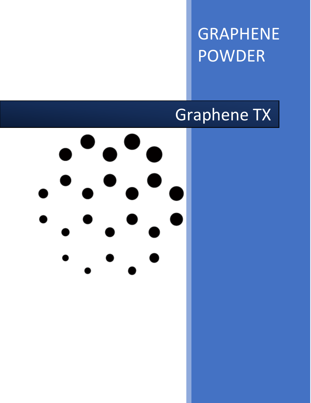GRAPHENE POWDER

# Graphene TX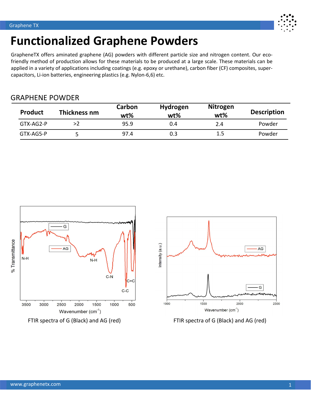

## **Functionalized Graphene Powders**

GrapheneTX offers aminated graphene (AG) powders with different particle size and nitrogen content. Our ecofriendly method of production allows for these materials to be produced at a large scale. These materials can be applied in a variety of applications including coatings (e.g. epoxy or urethane), carbon fiber (CF) composites, supercapacitors, Li-ion batteries, engineering plastics (e.g. Nylon-6,6) etc.

### GRAPHENE POWDER

| <b>Product</b> | Thickness nm | Carbon<br>wt% | <b>Hydrogen</b><br>wt% | <b>Nitrogen</b><br>$wt\%$ | <b>Description</b> |
|----------------|--------------|---------------|------------------------|---------------------------|--------------------|
| $GTX-AG2-P$    | >2           | 95.9          | 0.4                    | 2.4                       | Powder             |
| GTX-AG5-P      |              | 97.4          | 0.3                    | 1.5                       | Powder             |





FTIR spectra of G (Black) and AG (red) FTIR spectra of G (Black) and AG (red)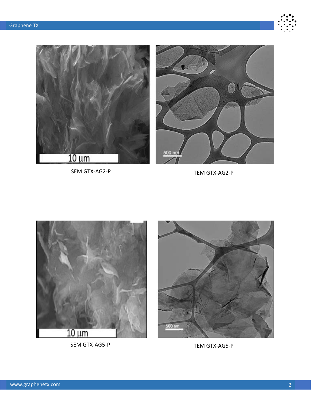



SEM GTX-AG2-P TEM GTX-AG2-P



SEM GTX-AG5-P TEM GTX-AG5-P

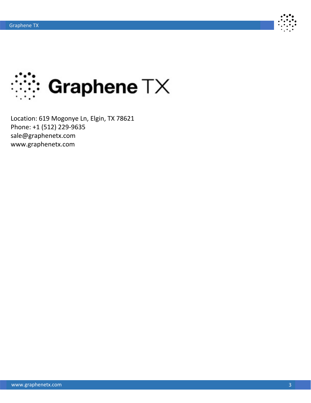



Location: 619 Mogonye Ln, Elgin, TX 78621 Phone: +1 (512) 229-9635 sale@graphenetx.com www.graphenetx.com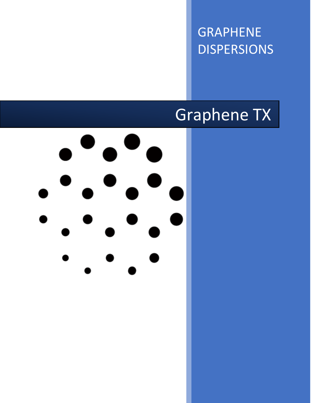GRAPHENE DISPERSIONS

# Graphene TX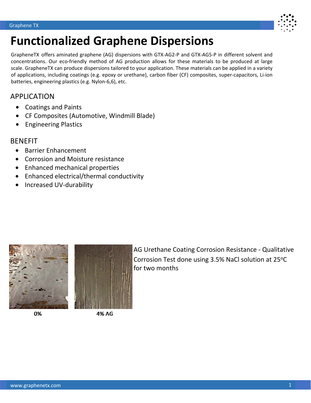

## **Functionalized Graphene Dispersions**

GrapheneTX offers aminated graphene (AG) dispersions with GTX-AG2-P and GTX-AG5-P in different solvent and concentrations. Our eco-friendly method of AG production allows for these materials to be produced at large scale. GrapheneTX can produce dispersions tailored to your application. These materials can be applied in a variety of applications, including coatings (e.g. epoxy or urethane), carbon fiber (CF) composites, super-capacitors, Li-ion batteries, engineering plastics (e.g. Nylon-6,6), etc.

## APPLICATION

- Coatings and Paints
- CF Composites (Automotive, Windmill Blade)
- Engineering Plastics

### BENEFIT

- Barrier Enhancement
- Corrosion and Moisture resistance
- Enhanced mechanical properties
- Enhanced electrical/thermal conductivity
- Increased UV-durability



0%



4% AG

AG Urethane Coating Corrosion Resistance - Qualitative Corrosion Test done using 3.5% NaCl solution at 25°C for two months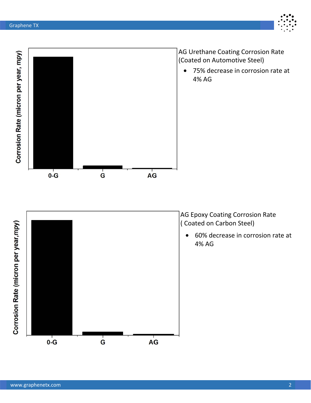

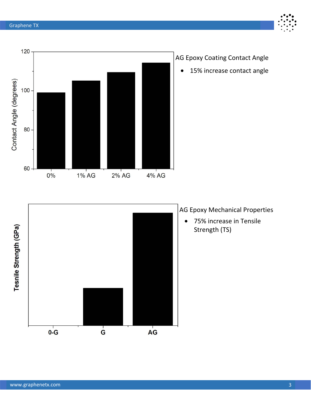

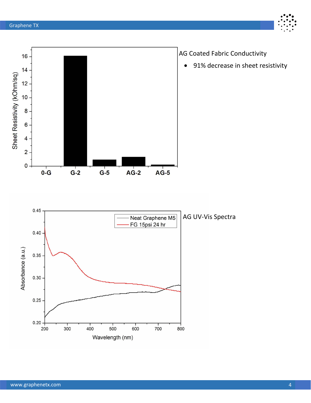



AG Coated Fabric Conductivity

• 91% decrease in sheet resistivity

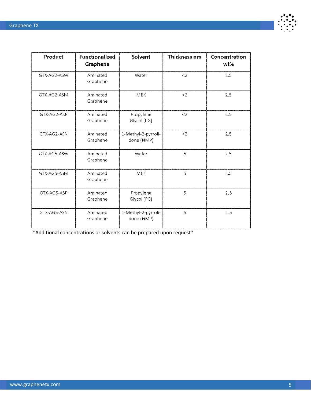

| Product     | <b>Functionalized</b><br>Graphene | Solvent                           | <b>Thickness nm</b> | Concentration<br>wt% |
|-------------|-----------------------------------|-----------------------------------|---------------------|----------------------|
| GTX-AG2-ASW | Aminated<br>Graphene              | Water                             | <                   | 2.5                  |
| GTX-AG2-ASM | Aminated<br>Graphene              | <b>MEK</b>                        | <                   | 2.5                  |
| GTX-AG2-ASP | Aminated<br>Graphene              | Propylene<br>Glycol (PG)          | <                   | 2.5                  |
| GTX-AG2-ASN | Aminated<br>Graphene              | 1-Methyl-2-pyrroli-<br>done (NMP) | $<$ 2               | 2.5                  |
| GTX-AG5-ASW | Aminated<br>Graphene              | Water                             | 5                   | 2.5                  |
| GTX-AG5-ASM | Aminated<br>Graphene              | <b>MEK</b>                        | 5                   | 2.5                  |
| GTX-AG5-ASP | Aminated<br>Graphene              | Propylene<br>Glycol (PG)          | 5                   | 2.5                  |
| GTX-AG5-ASN | Aminated<br>Graphene              | 1-Methyl-2-pyrroli-<br>done (NMP) | 5                   | 2.5                  |

\*Additional concentrations or solvents can be prepared upon request\*